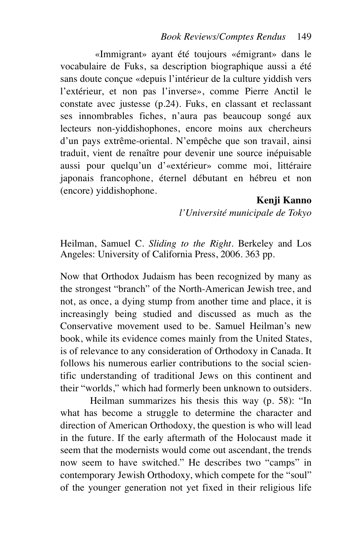«Immigrant» ayant été toujours «émigrant» dans le vocabulaire de Fuks, sa description biographique aussi a été sans doute conçue «depuis l'intérieur de la culture yiddish vers l'extérieur, et non pas l'inverse», comme Pierre Anctil le constate avec justesse (p.24). Fuks, en classant et reclassant ses innombrables fiches, n'aura pas beaucoup songé aux lecteurs non-yiddishophones, encore moins aux chercheurs d'un pays extrême-oriental. N'empêche que son travail, ainsi traduit, vient de renaître pour devenir une source inépuisable aussi pour quelqu'un d'«extérieur» comme moi, littéraire japonais francophone, éternel débutant en hébreu et non (encore) yiddishophone.

**Kenji Kanno**

*l'Université municipale de Tokyo*

Heilman, Samuel C. *Sliding to the Right*. Berkeley and Los Angeles: University of California Press, 2006. 363 pp.

Now that Orthodox Judaism has been recognized by many as the strongest "branch" of the North-American Jewish tree, and not, as once, a dying stump from another time and place, it is increasingly being studied and discussed as much as the Conservative movement used to be. Samuel Heilman's new book, while its evidence comes mainly from the United States, is of relevance to any consideration of Orthodoxy in Canada. It follows his numerous earlier contributions to the social scientific understanding of traditional Jews on this continent and their "worlds," which had formerly been unknown to outsiders.

Heilman summarizes his thesis this way (p. 58): "In what has become a struggle to determine the character and direction of American Orthodoxy, the question is who will lead in the future. If the early aftermath of the Holocaust made it seem that the modernists would come out ascendant, the trends now seem to have switched." He describes two "camps" in contemporary Jewish Orthodoxy, which compete for the "soul" of the younger generation not yet fixed in their religious life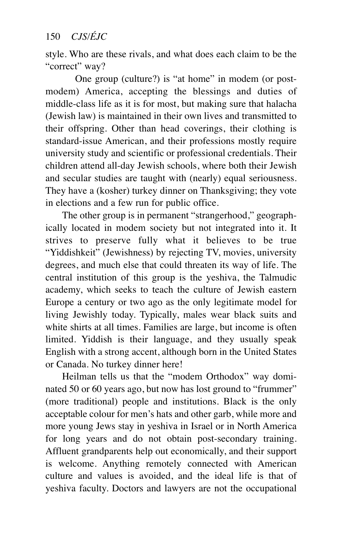## 150 *CJS/ÉJC*

style. Who are these rivals, and what does each claim to be the "correct" way?

One group (culture?) is "at home" in modem (or postmodem) America, accepting the blessings and duties of middle-class life as it is for most, but making sure that halacha (Jewish law) is maintained in their own lives and transmitted to their offspring. Other than head coverings, their clothing is standard-issue American, and their professions mostly require university study and scientific or professional credentials. Their children attend all-day Jewish schools, where both their Jewish and secular studies are taught with (nearly) equal seriousness. They have a (kosher) turkey dinner on Thanksgiving; they vote in elections and a few run for public office.

The other group is in permanent "strangerhood," geographically located in modem society but not integrated into it. It strives to preserve fully what it believes to be true "Yiddishkeit" (Jewishness) by rejecting TV, movies, university degrees, and much else that could threaten its way of life. The central institution of this group is the yeshiva, the Talmudic academy, which seeks to teach the culture of Jewish eastern Europe a century or two ago as the only legitimate model for living Jewishly today. Typically, males wear black suits and white shirts at all times. Families are large, but income is often limited. Yiddish is their language, and they usually speak English with a strong accent, although born in the United States or Canada. No turkey dinner here!

Heilman tells us that the "modem Orthodox" way dominated 50 or 60 years ago, but now has lost ground to "frummer" (more traditional) people and institutions. Black is the only acceptable colour for men's hats and other garb, while more and more young Jews stay in yeshiva in Israel or in North America for long years and do not obtain post-secondary training. Affluent grandparents help out economically, and their support is welcome. Anything remotely connected with American culture and values is avoided, and the ideal life is that of yeshiva faculty. Doctors and lawyers are not the occupational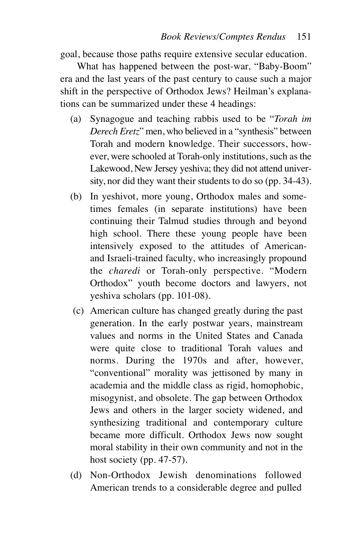goal, because those paths require extensive secular education.

What has happened between the post-war, "Baby-Boom" era and the last years of the past century to cause such a major shift in the perspective of Orthodox Jews? Heilman's explanations can be summarized under these 4 headings:

- (a) Synagogue and teaching rabbis used to be "*Torah im Derech Eretz*" men, who believed in a "synthesis" between Torah and modern knowledge. Their successors, however, were schooled at Torah-only institutions, such as the Lakewood, New Jersey yeshiva; they did not attend university, nor did they want their students to do so (pp. 34-43).
- (b) In yeshivot, more young, Orthodox males and sometimes females (in separate institutions) have been continuing their Talmud studies through and beyond high school. There these young people have been intensively exposed to the attitudes of Americanand Israeli-trained faculty, who increasingly propound the *charedi* or Torah-only perspective. "Modern Orthodox" youth become doctors and lawyers, not yeshiva scholars (pp. 101-08).
- (c) American culture has changed greatly during the past generation. In the early postwar years, mainstream values and norms in the United States and Canada were quite close to traditional Torah values and norms. During the 1970s and after, however, "conventional" morality was jettisoned by many in academia and the middle class as rigid, homophobic, misogynist, and obsolete. The gap between Orthodox Jews and others in the larger society widened, and synthesizing traditional and contemporary culture became more difficult. Orthodox Jews now sought moral stability in their own community and not in the host society (pp. 47-57).
- (d) Non-Orthodox Jewish denominations followed American trends to a considerable degree and pulled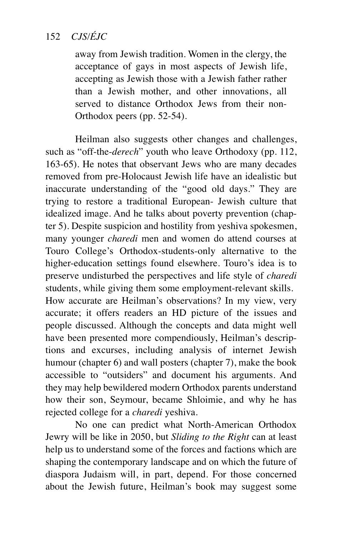## 152 *CJS/ÉJC*

away from Jewish tradition. Women in the clergy, the acceptance of gays in most aspects of Jewish life, accepting as Jewish those with a Jewish father rather than a Jewish mother, and other innovations, all served to distance Orthodox Jews from their non-Orthodox peers (pp. 52-54).

Heilman also suggests other changes and challenges, such as "off-the-*derech*" youth who leave Orthodoxy (pp. 112, 163-65). He notes that observant Jews who are many decades removed from pre-Holocaust Jewish life have an idealistic but inaccurate understanding of the "good old days." They are trying to restore a traditional European- Jewish culture that idealized image. And he talks about poverty prevention (chapter 5). Despite suspicion and hostility from yeshiva spokesmen, many younger *charedi* men and women do attend courses at Touro College's Orthodox-students-only alternative to the higher-education settings found elsewhere. Touro's idea is to preserve undisturbed the perspectives and life style of *charedi* students, while giving them some employment-relevant skills. How accurate are Heilman's observations? In my view, very accurate; it offers readers an HD picture of the issues and

people discussed. Although the concepts and data might well have been presented more compendiously, Heilman's descriptions and excurses, including analysis of internet Jewish humour (chapter 6) and wall posters (chapter 7), make the book accessible to "outsiders" and document his arguments. And they may help bewildered modern Orthodox parents understand how their son, Seymour, became Shloimie, and why he has rejected college for a *charedi* yeshiva.

No one can predict what North-American Orthodox Jewry will be like in 2050, but *Sliding to the Right* can at least help us to understand some of the forces and factions which are shaping the contemporary landscape and on which the future of diaspora Judaism will, in part, depend. For those concerned about the Jewish future, Heilman's book may suggest some